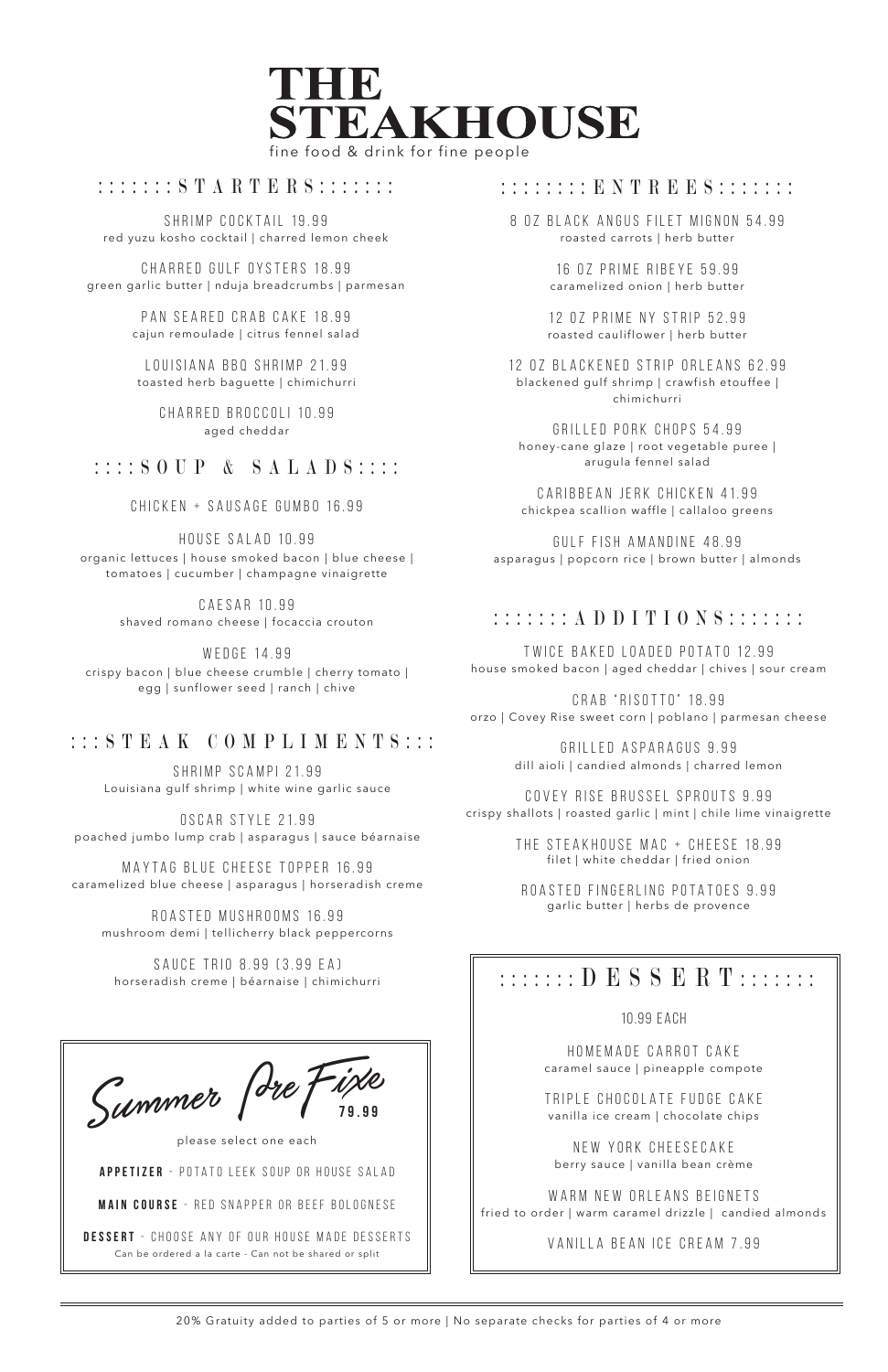

## : : : : : : : S T A R T E R S : : : : : : : :

20% Gratuity added to parties of 5 or more | No separate checks for parties of 4 or more

SHRIMP COCKTAIL 19.99 red yuzu kosho cocktail | charred lemon cheek

> LOUISIANA BBQ SHRIMP 21.99 toasted herb baguette | chimichurri

CH ARRED GULF OYSTERS 18.99 green garlic butter | nduja breadcrumbs | parmesan

> PAN SEARED CRAB CAKE 18.99 cajun remoulade | citrus fennel salad

> > CHARRED broccoli 10.99 aged cheddar

# : : : : S O U P & S A L A D S : : : :

CHICKEN + SAUSAGE GUMBO 16.99

HOUSE SALAD 10.99

organic lettuces | house smoked bacon | blue cheese | tomatoes | cucumber | champagne vinaigrette

> HOMEMADE CARROT CAKE caramel sauce | pineapple compote

> TRIPI E CHOCOLATE FUDGE CAKE vanilla ice cream | chocolate chips

CAESAR 10.99 shaved romano cheese | focaccia crouton

> NEW YORK CHEESECAKE berry sauce | vanilla bean crème

W EDGE 14.99 crispy bacon | blue cheese crumble | cherry tomato |

> WARM NEW ORLEANS BEIGNETS fried to order | warm caramel drizzle | candied almonds

egg | sunflower seed | ranch | chive

SHRIMP SCAMPI 21.99 Louisiana gulf shrimp | white wine garlic sauce

TWICE BAKED LOADED POTATO 12.99 house smoked bacon | aged cheddar | chives | sour cream

OSCAR STYLE 21.99 poached jumbo lump crab | asparagus | sauce béarnaise

MAYTAG BLUE CHEESE TOPPER 16.99 caramelized blue cheese | asparagus | horseradish creme

ROASTED MUSHROOMS 16.99 mushroom demi | tellicherry black peppercorns

SAUCE TRIO 8.99 (3.99 EA)

#### :::::::: ENTREES:::::::

12 0 Z P R I M E N Y S T R I P 5 2.99 roasted cauliflower | herb butter

#### 10.99 EACh

12 OZ BLACKENED STRIP ORLEANS 62.99 blackened gulf shrimp | crawfish etouffee | chimichurri

GRILLED PORK CHOPS 54.99 honey-cane glaze | root vegetable puree | arugula fennel salad

CARIBBEAN JERK CHICKEN 41.99 chickpea scallion waffle | callaloo greens

VANILLA BEAN ICE CREAM 7.99

## :::::::ADDITIONS:::::::

CRAB "RISOTTO" 18.99 orzo | Covey Rise sweet corn | poblano | parmesan cheese

> GRILLED ASPARAGUS 9.99 dill aioli | candied almonds | charred lemon

COVEY RISE BRUSSEL SPROUTS 9.99 crispy shallots | roasted garlic | mint | chile lime vinaigrette

> THE STEAKHOUSE MAC + CHEESE 18.99 filet | white cheddar | fried onion

ROASTED FINGERLING POTATOES 9.99 garlic butter | herbs de provence

# $\begin{array}{c} \texttt{SAUE} \end{array}$  ind 0.99 to.99 EAJ<br>horseradish creme | béarnaise | chimichurri  $\begin{array}{c} \parallel \end{array}$  :::::: D E S S E R T :::::::

8 OZ BLACK ANGUS FILET MIGNON 54.99 roasted carrots | herb butter

> 16 OZ PRIME RIBEYE 59.99 caramelized onion | herb butter

GULF FISH AMANDINE 48.99 asparagus | popcorn rice | brown butter | almonds

# :::STEAK COMPLIMENTS:::